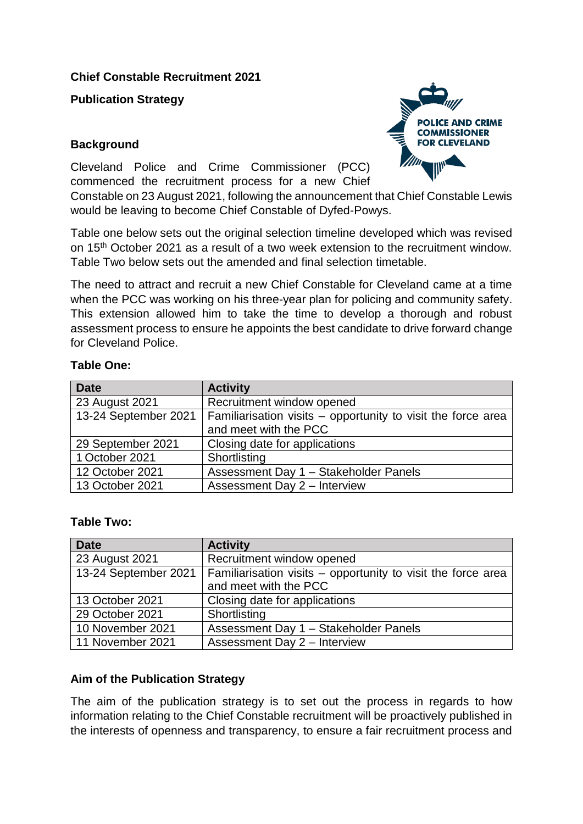## **Chief Constable Recruitment 2021**

**Publication Strategy** 

## **Background**

Cleveland Police and Crime Commissioner (PCC) commenced the recruitment process for a new Chief

Constable on 23 August 2021, following the announcement that Chief Constable Lewis would be leaving to become Chief Constable of Dyfed-Powys.

Table one below sets out the original selection timeline developed which was revised on 15<sup>th</sup> October 2021 as a result of a two week extension to the recruitment window. Table Two below sets out the amended and final selection timetable.

The need to attract and recruit a new Chief Constable for Cleveland came at a time when the PCC was working on his three-year plan for policing and community safety. This extension allowed him to take the time to develop a thorough and robust assessment process to ensure he appoints the best candidate to drive forward change for Cleveland Police.

| <b>Date</b>          | <b>Activity</b>                                              |  |
|----------------------|--------------------------------------------------------------|--|
| 23 August 2021       | Recruitment window opened                                    |  |
| 13-24 September 2021 | Familiarisation visits - opportunity to visit the force area |  |
|                      | and meet with the PCC                                        |  |
| 29 September 2021    | Closing date for applications                                |  |
| 1 October 2021       | Shortlisting                                                 |  |
| 12 October 2021      | Assessment Day 1 - Stakeholder Panels                        |  |
| 13 October 2021      | <b>Assessment Day 2 - Interview</b>                          |  |

# **Table One:**

## **Table Two:**

| <b>Date</b>          | <b>Activity</b>                                              |  |
|----------------------|--------------------------------------------------------------|--|
| 23 August 2021       | Recruitment window opened                                    |  |
| 13-24 September 2021 | Familiarisation visits - opportunity to visit the force area |  |
|                      | and meet with the PCC                                        |  |
| 13 October 2021      | Closing date for applications                                |  |
| 29 October 2021      | Shortlisting                                                 |  |
| 10 November 2021     | Assessment Day 1 - Stakeholder Panels                        |  |
| 11 November 2021     | Assessment Day 2 - Interview                                 |  |

# **Aim of the Publication Strategy**

The aim of the publication strategy is to set out the process in regards to how information relating to the Chief Constable recruitment will be proactively published in the interests of openness and transparency, to ensure a fair recruitment process and